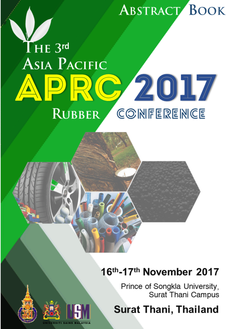# **ABSTRACT BOOK**

## $\mathrm{THE}$  3rd **ASIA PACIFIC** APRC 2017 **RUBBER** COMFEREMCE

### 16th-17th November 2017

Prince of Songkla University, Surat Thani Campus

## **Surat Thani, Thailand**